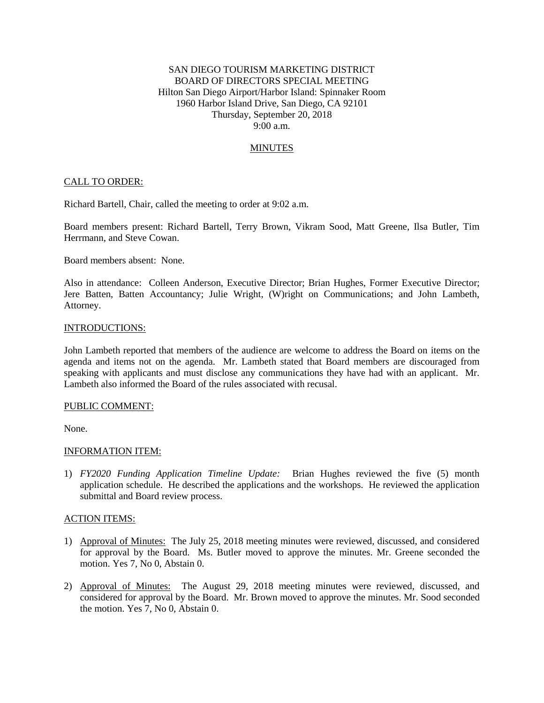# SAN DIEGO TOURISM MARKETING DISTRICT BOARD OF DIRECTORS SPECIAL MEETING Hilton San Diego Airport/Harbor Island: Spinnaker Room 1960 Harbor Island Drive, San Diego, CA 92101 Thursday, September 20, 2018 9:00 a.m.

## **MINUTES**

## CALL TO ORDER:

Richard Bartell, Chair, called the meeting to order at 9:02 a.m.

Board members present: Richard Bartell, Terry Brown, Vikram Sood, Matt Greene, Ilsa Butler, Tim Herrmann, and Steve Cowan.

Board members absent: None.

Also in attendance: Colleen Anderson, Executive Director; Brian Hughes, Former Executive Director; Jere Batten, Batten Accountancy; Julie Wright, (W)right on Communications; and John Lambeth, Attorney.

#### INTRODUCTIONS:

John Lambeth reported that members of the audience are welcome to address the Board on items on the agenda and items not on the agenda. Mr. Lambeth stated that Board members are discouraged from speaking with applicants and must disclose any communications they have had with an applicant. Mr. Lambeth also informed the Board of the rules associated with recusal.

## PUBLIC COMMENT:

None.

## INFORMATION ITEM:

1) *FY2020 Funding Application Timeline Update:* Brian Hughes reviewed the five (5) month application schedule. He described the applications and the workshops. He reviewed the application submittal and Board review process.

## ACTION ITEMS:

- 1) Approval of Minutes: The July 25, 2018 meeting minutes were reviewed, discussed, and considered for approval by the Board. Ms. Butler moved to approve the minutes. Mr. Greene seconded the motion. Yes 7, No 0, Abstain 0.
- 2) Approval of Minutes: The August 29, 2018 meeting minutes were reviewed, discussed, and considered for approval by the Board. Mr. Brown moved to approve the minutes. Mr. Sood seconded the motion. Yes 7, No 0, Abstain 0.